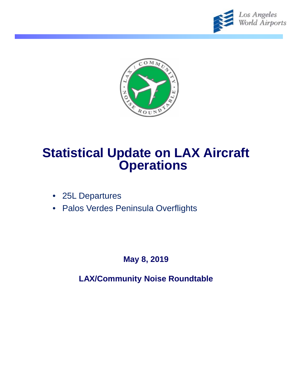



# **Statistical Update on LAX Aircraft Operations**

- 25L Departures
- Palos Verdes Peninsula Overflights

**May 8, 2019**

**LAX/Community Noise Roundtable**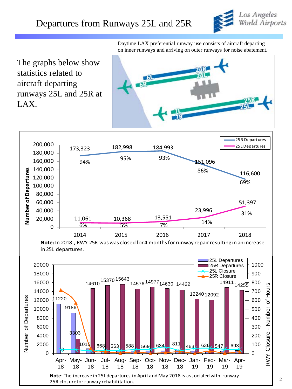

Daytime LAX preferential runway use consists of aircraft departing on inner runways and arriving on outer runways for noise abatement.

The graphs below show statistics related to aircraft departing runways 25L and 25R at LAX.



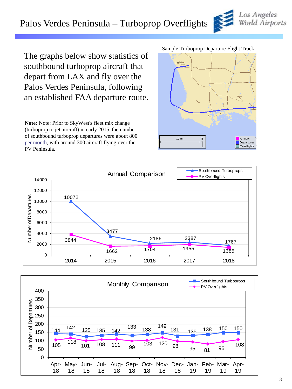# Palos Verdes Peninsula – Turboprop Overflights

The graphs below show statistics of southbound turboprop aircraft that depart from LAX and fly over the Palos Verdes Peninsula, following an established FAA departure route.

**Note:** Note: Prior to SkyWest's fleet mix change (turboprop to jet aircraft) in early 2015, the number of southbound turboprop departures were about 800 per month, with around 300 aircraft flying over the PV Peninsula.

#### Sample Turboprop Departure Flight Track







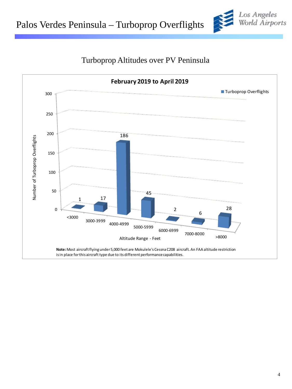



### Turboprop Altitudes over PV Peninsula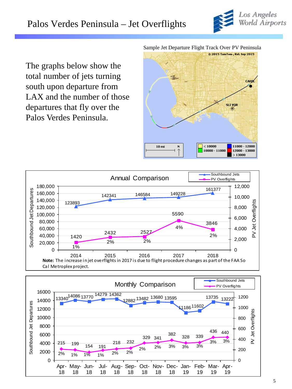

The graphs below show the total number of jets turning south upon departure from LAX and the number of those departures that fly over the Palos Verdes Peninsula.